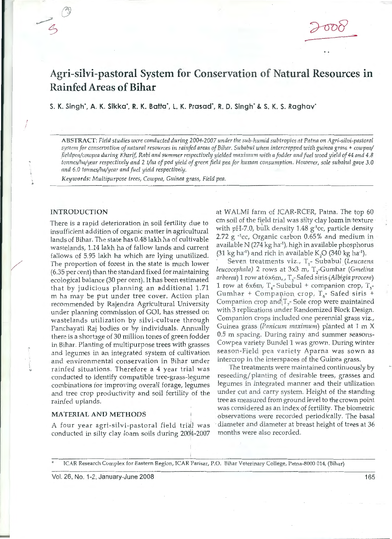# Agri-silvi-pastoral System for Conservation of Natural Resources in Rainfed Areas of Bihar

S. K. Singh·, A. K. Sikka·, R. K. Batta·, l. K. Prasad·, R. D. Singh· & S. K. S. Raghav·

ABSTRACT: Field studies were conducted during 2004-2007 under the sub-humid subtropics at Patna on Agri-silvi-pastoral system for conservation of natural resources in rainfed areas of Bihar. Subabul when intercropped with guinea grass + cowpea/ *fieldpea/cowpea during Kharif, Rabi and summer respectively yielded maximum with a fodder and fuel wood yield of 44 and 4.8 tonnes/ha/year respectively and* 2 *t/ha of pod yield of green field pea for human consumption. However, sole subabul gave 3.0 and 6.0 tonnes/ha/year and fuel yield respectively.* 

*Keywords: Multipurpose trees, Cowpea, Guinea grass, Field pea.* 

### INTRODUCTION

/

There is a rapid deterioration in soil fertility due to insufficient addition of organic matter in agricultural lands of Bihar. The state has 0.48 lakh ha of cultivable wastelands, 1.14 lakh ha of fallow lands and current fallows of 5.95 lakh ha which are lying unutilized. The proportion of forest in the state is much lower (6.35 per cent) than the standard fixed for maintaining ecological balance (30 per cent). It has been estimated that by judicious planning an additional 1.71 m ha may be put under tree cover. Action plan recommended by Rajendra Agricultural University under planning commission of GOI, has stressed on wastelands utilization by silvi-culture through Panchayati Raj bodies or by individuals. Annually there is a shortage of 30 million tones of green fodder in Bihar. Planting of multipurpose trees with grasses and legumes in an integrated system of cultivation and en vironmental conservation in Bihar under rainfed situations. Therefore a 4 year trial was conducted to identify compatible tree-grass-legume combinations for improving overall forage, legumes and tree crop productivity and soil fertility of the rainfed uplands.

#### MATERIAL AND METHODS

A four year agri-silvi-pastoral field trial was conducted in silty clay loam soils during 2004-2007

at WALMI farm of ICAR-RCER, Patna. The top 60 cm soil of the field trial was silty clay loam in texture with pH-7.0, bulk density 1.48 g·1 cc, particle density 2.72 g -1 cc, Organic carbon 0.65% and medium in available N (274 kg ha·1 ), high in available phosphorus (31 kg ha<sup>-1</sup>) and rich in available K<sub>2</sub>O (340 kg ha<sup>-1</sup>).

Seven treatments viz., T<sub>1</sub>- Subabul (Leucaena leucocephala) 2 rows at 3x3 m, T<sub>2</sub>-Gumhar *(Gmelina arborea)* 1 row at 6x6m,\_, T 3 - Safed siris *(Albigia procera)*  1 row at 6x6m,  $T_4$ -Subabul + companion crop,  $T_5$ Gumhar + Companion crop,  $T_{6}$ - Safed siris + Companion crop and  $T<sub>z</sub>$ - Sole crop were maintained with 3 replications under Randomized Block Design. Companion crops included one perennial grass viz., Guinea grass *(Panicum maximum)* planted at 1 m X 0.5 m spacing. During rainy and summer seasons-Cowpea variety Bunde! 1 was grown. During winter season-Field pea variety Aparna was sown as intercrop in the interspaces of the Guinea grass.

The treatments were maintained continuously by reseeding/planting of desirable trees, grasses and legumes in integrated manner and their utilization under cut and carry system. Height of the standing tree as measured from ground level to the crown point was considered as an index of fertility. The biometric observations were recorded periodically. The basal diameter and diameter at breast height of trees at 36 months were also recorded.

!CAR Resea rch Complex for Eastern Region, !CAR Parisar, P.O. Bihar Veterinary College, Patna-8000 014, (Bihar)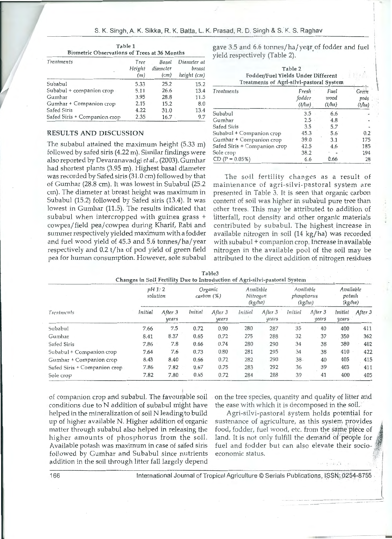| <b>Biometric Observations of Trees at 36 Months</b> |                       |                           |                                      |  |  |
|-----------------------------------------------------|-----------------------|---------------------------|--------------------------------------|--|--|
| Treatments                                          | Tree<br>Height<br>(m) | Basal<br>diameter<br>(cm) | Diameter at<br>breast<br>height (cm) |  |  |
| Subabul                                             | 5.33                  | 25.2                      | 15.2                                 |  |  |
| Subabul + companion crop                            | 5.11                  | 26.6                      | 13.4                                 |  |  |
| Gumhar                                              | 3.95                  | 28.8                      | 11.5                                 |  |  |
| Gumhar + Companion crop                             | 2.15                  | 15.2                      | 8.0                                  |  |  |
| Safed Siris                                         | 4.22                  | 31.0                      | 13.4                                 |  |  |
| Safed Siris + Companion crop                        | 2.35                  | 16.7                      | 9.7                                  |  |  |

## Table 1

### RESULTS AND DISCUSSION

The subabul attained the maximum height (5.33 m) followed by safed siris (4.22 m). Similar findings were also reported by Oevaranavadgi *et al.,* (2003). Gumhar had shortest plants (3.95 m). Highest basal diameter was recorded by Safed siris (31.0 cm) followed by that of Gumhar (28.8 cm). It was lowest in Subabul (25.2 cm). The diameter at breast height was maximum in Subabul (15.2) followed by Safed siris (13.4). It was lowest in Gumhar (11.5). The results indicated that subabul when intercropped with guinea grass + cow pea/ field pea/ cowpea during Kharif, Rabi and summer respectively yielded maximum with a fodder and fuel wood yield of 45.3 and 5.6 tonnes/ha/year respectively and 0.2 t/ ha of pod yield of green field pea for human consumption. However, sole subabul gave 3.5 and 6.6 tonnes/ha/year of fodder and fuel yield respectively (Table 2).

| Table 2<br>Fodder/Fuel Yields Under Different<br>Treatments of Agri-silvi-pastoral System |                                |                        |                                         |  |  |
|-------------------------------------------------------------------------------------------|--------------------------------|------------------------|-----------------------------------------|--|--|
| Treatments                                                                                | Fresh<br>fodder<br>$(t/\ln t)$ | Fuel<br>wood<br>(l/ha) | Green<br>pods<br>$\langle t/ln \rangle$ |  |  |
| Subabul                                                                                   | 3.5                            | 6.6                    |                                         |  |  |
| Gumhar                                                                                    | 2.5                            | 4.8                    |                                         |  |  |
| Safed Siris                                                                               | 3.5                            | 5.7                    |                                         |  |  |
| Subabul + Companion crop                                                                  | 45.3                           | 5.6                    | $0.2^{\circ}$                           |  |  |
| Gumhar + Companion crop                                                                   | 39.0                           | 3.1                    | 175                                     |  |  |
| Safed Siris + Companion crop                                                              | 42.5                           | 4.6                    | 185                                     |  |  |
| Sole crop                                                                                 | 38.2                           |                        | 194                                     |  |  |
| $CD (P = 0.05%)$                                                                          | 6.6                            | 0.66                   | 28                                      |  |  |

\

1

The soil fertility changes as a result of ma intenance of agri-silvi-pastoral system are presented in Table 3. It is seen that organic carbon content of soil was higher in subabul pure tree than other trees. This may be attributed to addition of litterfall, root density and other organic materials contributed by subabul. The highest increase in available nitrogen in soil (14 kg/ha) was recorded with subabul + companion crop. Increase in available nitrogen in the available pool of the soil may be attributed to the direct addition of nitrogen residues

| Treatments                   | pH1:2<br>solution |                  | Organic<br>carbon $(\%)$ |                  | Available<br>Nitrogen<br>(kg/ha) |                  | Available<br>phosphorus<br>(kg/ln) | Available<br>potash<br>(kg/na) |                  |         |
|------------------------------|-------------------|------------------|--------------------------|------------------|----------------------------------|------------------|------------------------------------|--------------------------------|------------------|---------|
|                              | Initial           | After 3<br>years | Initial                  | After 3<br>years | Initial                          | After 3<br>years | Initial                            | After 3<br>years               | Initial<br>years | After 3 |
| Subabul                      | 7.66              | 7.5              | 0.72                     | 0.90             | 280                              | 287              | 35                                 | 40                             | 400              | 411     |
| Gumhar                       | 8.41              | 8.37             | 0.65                     | 0.72             | 275                              | 288              | 32                                 | 37                             | 350              | 362     |
| Safed Siris                  | 7.86              | 7.8              | 0.66                     | 0.74             | 280                              | 290              | 34                                 | 38                             | 380              | 402     |
| Subabul + Companion crop     | 7.64              | 7.6              | 0.73                     | 0.80             | 281                              | 295              | 34                                 | 38                             | 410              | 422     |
| Gumhar + Companion crop      | 8.43              | 8.40             | 0.66                     | 0.72             | 282                              | 290              | $38 -$                             | 40                             | 405              | 415     |
| Safed Siris + Companion crop | 7.86              | 7.82             | 0.67                     | 0.75             | 283                              | 292              | 36                                 | 39                             | 403              | 411     |
| Sole crop                    | 7.82              | 7.80             | 0.65                     | 0.72             | 284                              | 288              | 39                                 | 41                             | 400              | 405     |

| Table3                                                                      |  |  |  |
|-----------------------------------------------------------------------------|--|--|--|
| Changes in Soil Fertility Due to Introduction of Agri-silvi-pastoral System |  |  |  |

of companion crop and subabul. The favourable soil . on the tree species, quantity and quality of litter and conditions due to N addition of subabul might have the ease with which it is decomposed in the soil. helped in the mineralization of soil N leading to build Agri-silvi-pastoral system holds potential for up of higher available N. Higher addition of organic sustenance of agriculture, as this system provides matter through subabul also helped in releasing the food, fodder, fuel wood, etc. from the same piece of higher amounts of phosphorus from the soil. Ind. It is not only fulfill the demand of people for higher amounts of phosphorus from the soil. Iand. It is not only fulfill the demand of people for<br>Available potash was maximum in case of safed siris fuel and fodder but can also elevate their socio-Available potash was maximum in case of safed siris followed by Gumhar and Subabul since nutrients economic status. addition in the soil through litter fall largely depend

166 International Journal of Tropical Agriculture © Serials Publications, ISSN; 0254-8755